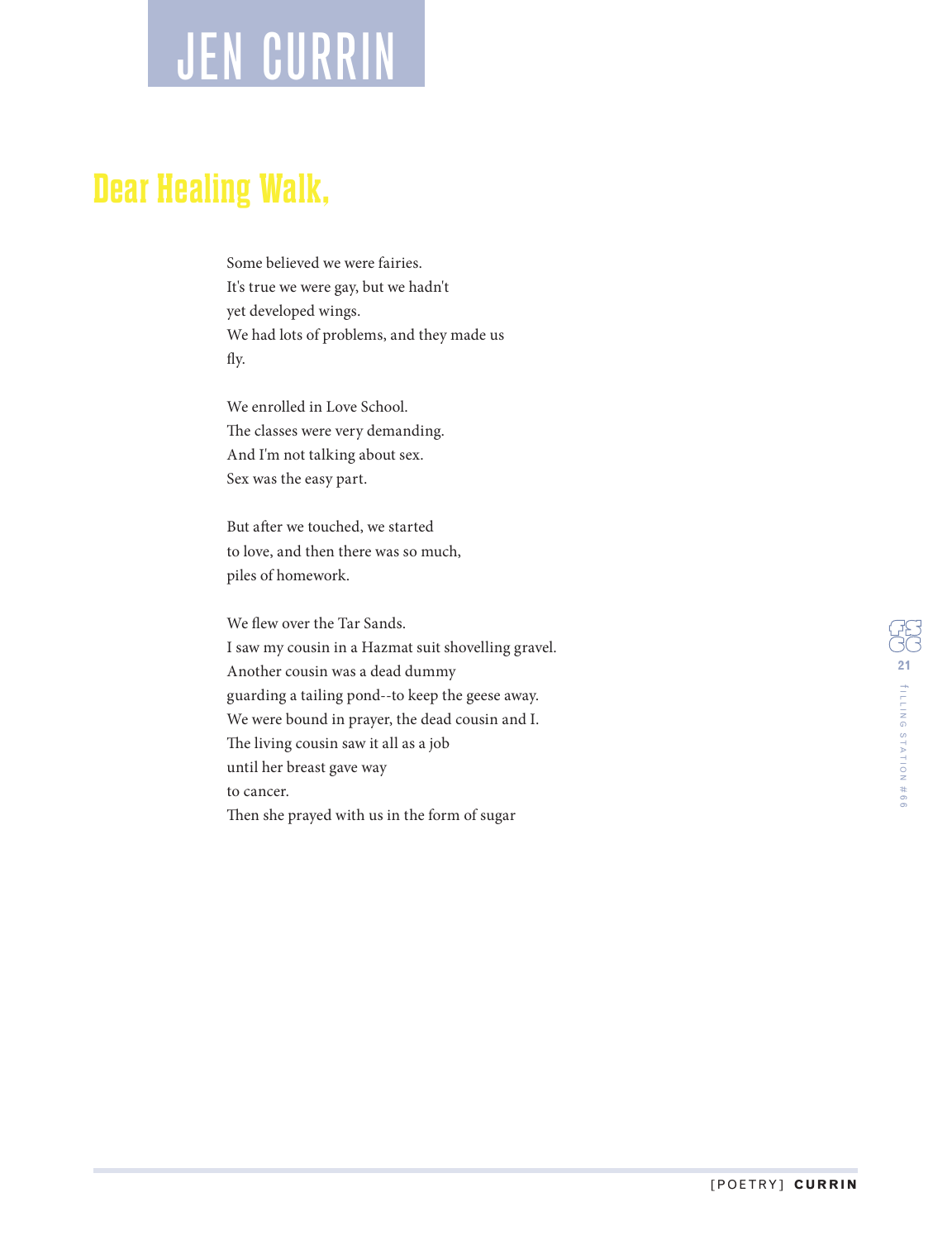## JEN CURRIN

## **Dear Healing Walk,**

Some believed we were fairies. It's true we were gay, but we hadn't yet developed wings. We had lots of problems, and they made us fly.

We enrolled in Love School. The classes were very demanding. And I'm not talking about sex. Sex was the easy part.

But after we touched, we started to love, and then there was so much, piles of homework.

We flew over the Tar Sands. I saw my cousin in a Hazmat suit shovelling gravel. Another cousin was a dead dummy guarding a tailing pond--to keep the geese away. We were bound in prayer, the dead cousin and I. The living cousin saw it all as a job until her breast gave way to cancer. Then she prayed with us in the form of sugar

**21** ILLING STATION # თ<br>თ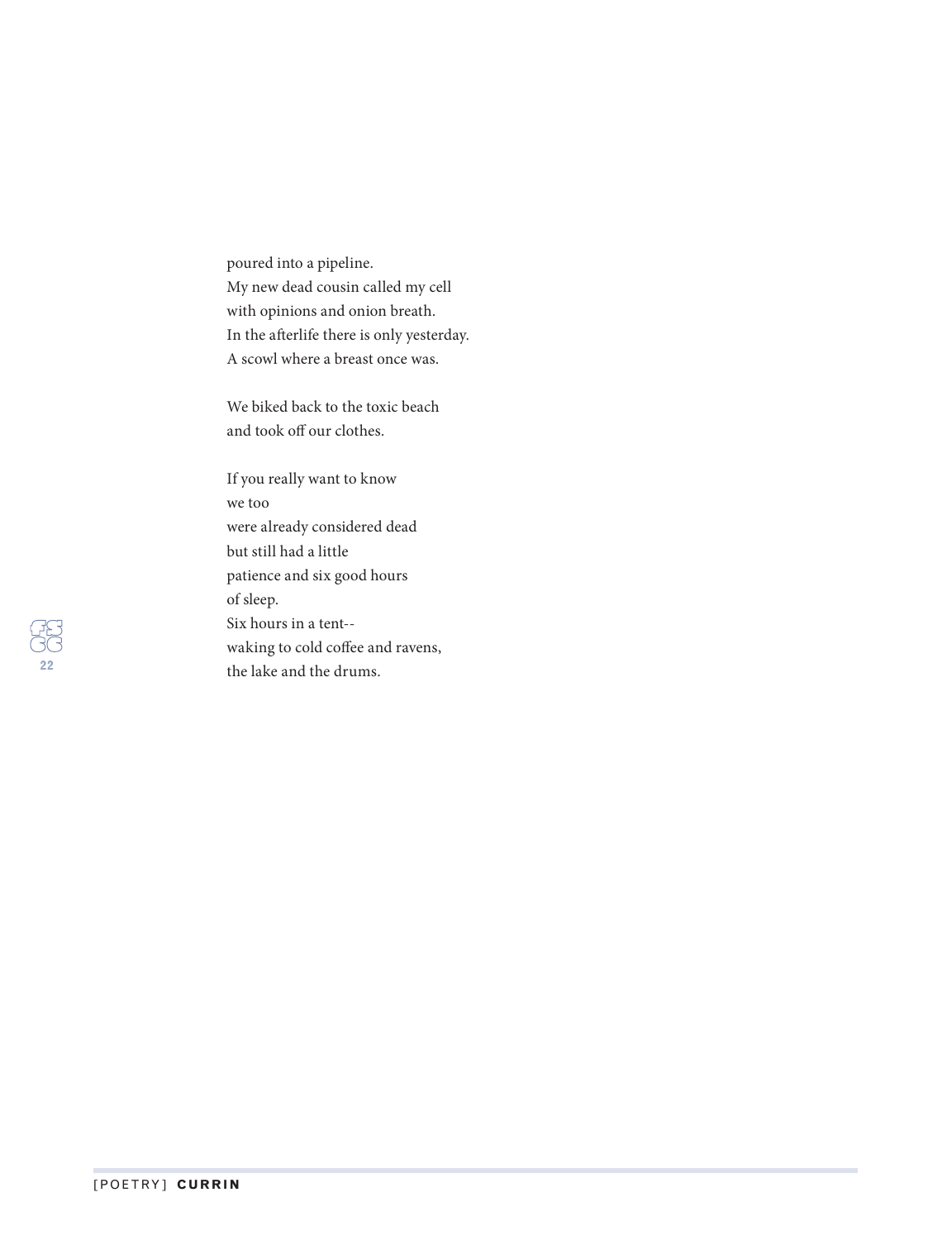poured into a pipeline. My new dead cousin called my cell with opinions and onion breath. In the aferlife there is only yesterday. A scowl where a breast once was.

We biked back to the toxic beach and took off our clothes.

If you really want to know we too were already considered dead but still had a little patience and six good hours of sleep. Six hours in a tent- waking to cold coffee and ravens, the lake and the drums.